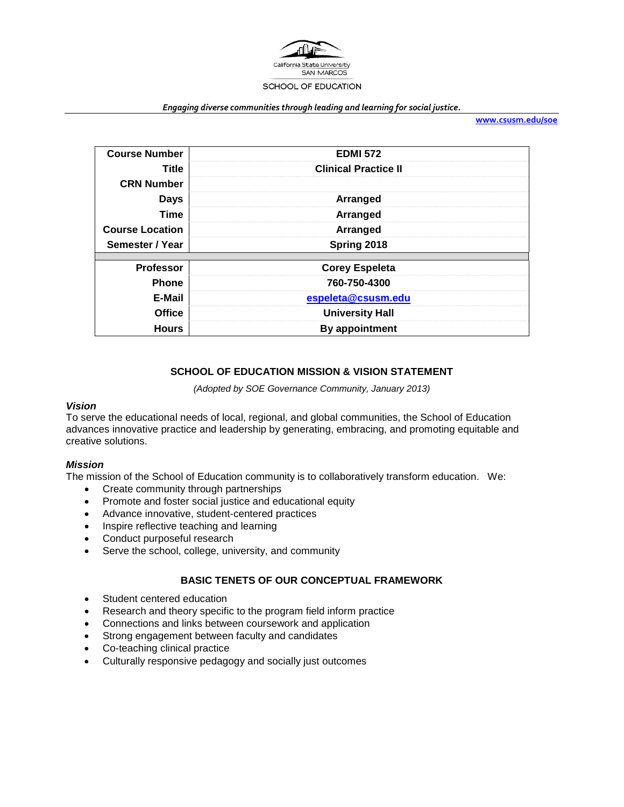

#### *Engaging diverse communities through leading and learning for social justice.*

**[www.csusm.edu/soe](http://www.csusm.edu/soe)**

| <b>Course Number</b>   | <b>EDMI 572</b>             |
|------------------------|-----------------------------|
| <b>Title</b>           | <b>Clinical Practice II</b> |
| <b>CRN Number</b>      |                             |
| <b>Days</b>            | Arranged                    |
| Time                   | Arranged                    |
| <b>Course Location</b> | Arranged                    |
| Semester / Year        | Spring 2018                 |
|                        |                             |
| <b>Professor</b>       | <b>Corey Espeleta</b>       |
| <b>Phone</b>           | 760-750-4300                |
| E-Mail                 | espeleta@csusm.edu          |
| <b>Office</b>          | <b>University Hall</b>      |
| <b>Hours</b>           | By appointment              |

#### **SCHOOL OF EDUCATION MISSION & VISION STATEMENT**

*(Adopted by SOE Governance Community, January 2013)*

#### *Vision*

To serve the educational needs of local, regional, and global communities, the School of Education advances innovative practice and leadership by generating, embracing, and promoting equitable and creative solutions.

#### *Mission*

The mission of the School of Education community is to collaboratively transform education. We:

- Create community through partnerships
- Promote and foster social justice and educational equity
- Advance innovative, student-centered practices
- Inspire reflective teaching and learning
- Conduct purposeful research
- Serve the school, college, university, and community

#### **BASIC TENETS OF OUR CONCEPTUAL FRAMEWORK**

- Student centered education
- Research and theory specific to the program field inform practice
- Connections and links between coursework and application
- Strong engagement between faculty and candidates
- Co-teaching clinical practice
- Culturally responsive pedagogy and socially just outcomes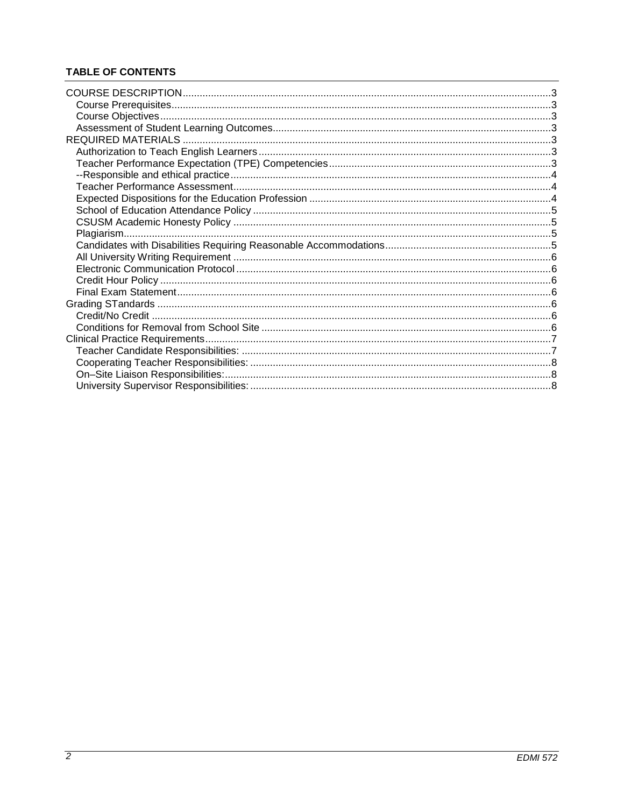# **TABLE OF CONTENTS**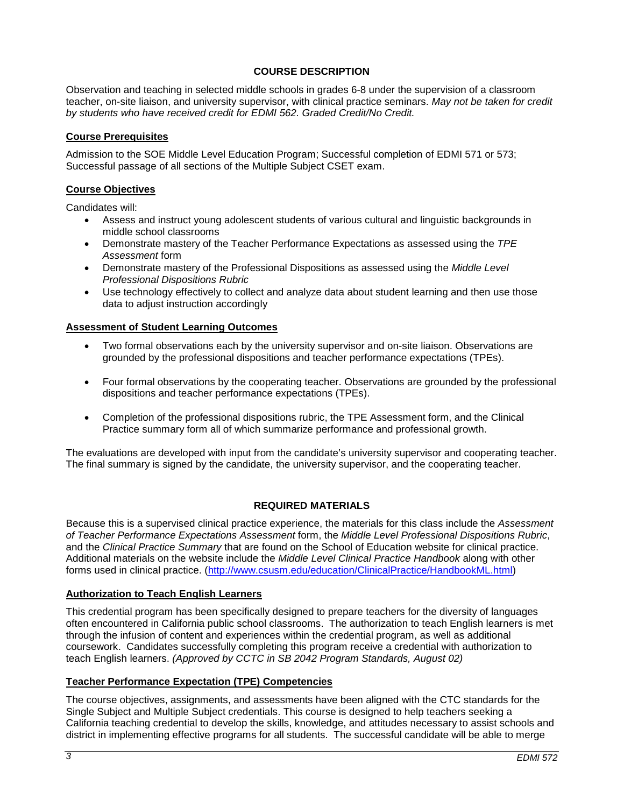# **COURSE DESCRIPTION**

Observation and teaching in selected middle schools in grades 6-8 under the supervision of a classroom teacher, on-site liaison, and university supervisor, with clinical practice seminars. *May not be taken for credit by students who have received credit for EDMI 562. Graded Credit/No Credit.*

### **Course Prerequisites**

Admission to the SOE Middle Level Education Program; Successful completion of EDMI 571 or 573; Successful passage of all sections of the Multiple Subject CSET exam.

### **Course Objectives**

Candidates will:

- Assess and instruct young adolescent students of various cultural and linguistic backgrounds in middle school classrooms
- Demonstrate mastery of the Teacher Performance Expectations as assessed using the *TPE Assessment* form
- Demonstrate mastery of the Professional Dispositions as assessed using the *Middle Level Professional Dispositions Rubric*
- Use technology effectively to collect and analyze data about student learning and then use those data to adjust instruction accordingly

#### **Assessment of Student Learning Outcomes**

- Two formal observations each by the university supervisor and on-site liaison. Observations are grounded by the professional dispositions and teacher performance expectations (TPEs).
- Four formal observations by the cooperating teacher. Observations are grounded by the professional dispositions and teacher performance expectations (TPEs).
- Completion of the professional dispositions rubric, the TPE Assessment form, and the Clinical Practice summary form all of which summarize performance and professional growth.

The evaluations are developed with input from the candidate's university supervisor and cooperating teacher. The final summary is signed by the candidate, the university supervisor, and the cooperating teacher.

### **REQUIRED MATERIALS**

Because this is a supervised clinical practice experience, the materials for this class include the *Assessment of Teacher Performance Expectations Assessment* form, the *Middle Level Professional Dispositions Rubric*, and the *Clinical Practice Summary* that are found on the School of Education website for clinical practice. Additional materials on the website include the *Middle Level Clinical Practice Handbook* along with other forms used in clinical practice. [\(http://www.csusm.edu/education/ClinicalPractice/HandbookML.html\)](http://www.csusm.edu/education/ClinicalPractice/HandbookML.html)

#### **Authorization to Teach English Learners**

This credential program has been specifically designed to prepare teachers for the diversity of languages often encountered in California public school classrooms. The authorization to teach English learners is met through the infusion of content and experiences within the credential program, as well as additional coursework. Candidates successfully completing this program receive a credential with authorization to teach English learners. *(Approved by CCTC in SB 2042 Program Standards, August 02)*

#### **Teacher Performance Expectation (TPE) Competencies**

The course objectives, assignments, and assessments have been aligned with the CTC standards for the Single Subject and Multiple Subject credentials. This course is designed to help teachers seeking a California teaching credential to develop the skills, knowledge, and attitudes necessary to assist schools and district in implementing effective programs for all students. The successful candidate will be able to merge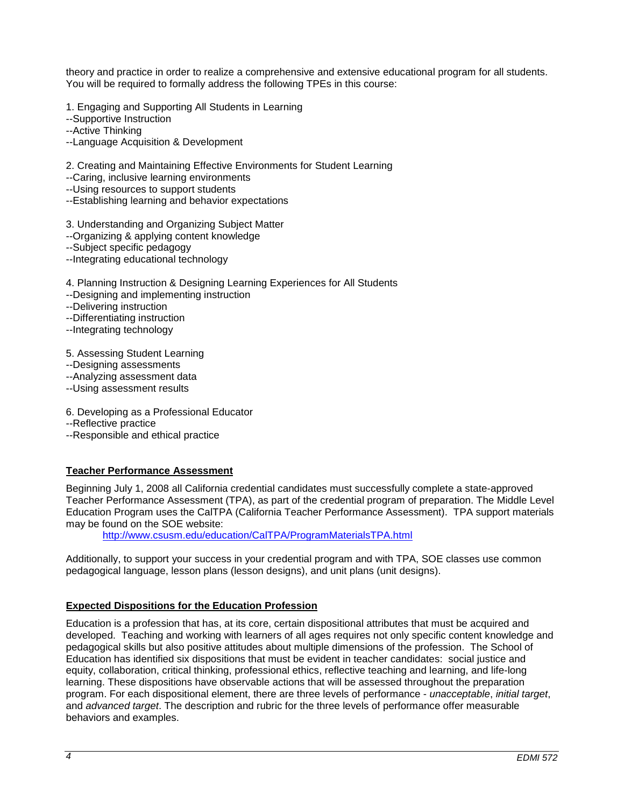theory and practice in order to realize a comprehensive and extensive educational program for all students. You will be required to formally address the following TPEs in this course:

1. Engaging and Supporting All Students in Learning

--Supportive Instruction

--Active Thinking

--Language Acquisition & Development

2. Creating and Maintaining Effective Environments for Student Learning

--Caring, inclusive learning environments

--Using resources to support students

--Establishing learning and behavior expectations

3. Understanding and Organizing Subject Matter

--Organizing & applying content knowledge

--Subject specific pedagogy

--Integrating educational technology

4. Planning Instruction & Designing Learning Experiences for All Students

--Designing and implementing instruction

--Delivering instruction

--Differentiating instruction

--Integrating technology

5. Assessing Student Learning

--Designing assessments

--Analyzing assessment data

--Using assessment results

6. Developing as a Professional Educator

--Reflective practice

--Responsible and ethical practice

### **Teacher Performance Assessment**

Beginning July 1, 2008 all California credential candidates must successfully complete a state-approved Teacher Performance Assessment (TPA), as part of the credential program of preparation. The Middle Level Education Program uses the CalTPA (California Teacher Performance Assessment). TPA support materials may be found on the SOE website:

<http://www.csusm.edu/education/CalTPA/ProgramMaterialsTPA.html>

Additionally, to support your success in your credential program and with TPA, SOE classes use common pedagogical language, lesson plans (lesson designs), and unit plans (unit designs).

### **Expected Dispositions for the Education Profession**

Education is a profession that has, at its core, certain dispositional attributes that must be acquired and developed. Teaching and working with learners of all ages requires not only specific content knowledge and pedagogical skills but also positive attitudes about multiple dimensions of the profession. The School of Education has identified six dispositions that must be evident in teacher candidates: social justice and equity, collaboration, critical thinking, professional ethics, reflective teaching and learning, and life-long learning. These dispositions have observable actions that will be assessed throughout the preparation program. For each dispositional element, there are three levels of performance - *unacceptable*, *initial target*, and *advanced target*. The description and rubric for the three levels of performance offer measurable behaviors and examples.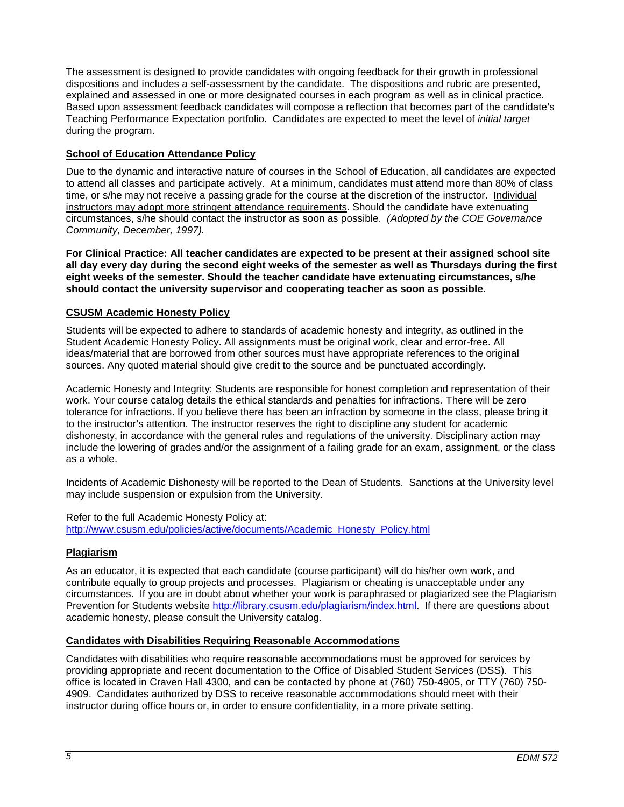The assessment is designed to provide candidates with ongoing feedback for their growth in professional dispositions and includes a self-assessment by the candidate. The dispositions and rubric are presented, explained and assessed in one or more designated courses in each program as well as in clinical practice. Based upon assessment feedback candidates will compose a reflection that becomes part of the candidate's Teaching Performance Expectation portfolio. Candidates are expected to meet the level of *initial target* during the program.

# **School of Education Attendance Policy**

Due to the dynamic and interactive nature of courses in the School of Education, all candidates are expected to attend all classes and participate actively. At a minimum, candidates must attend more than 80% of class time, or s/he may not receive a passing grade for the course at the discretion of the instructor. Individual instructors may adopt more stringent attendance requirements. Should the candidate have extenuating circumstances, s/he should contact the instructor as soon as possible. *(Adopted by the COE Governance Community, December, 1997).*

**For Clinical Practice: All teacher candidates are expected to be present at their assigned school site all day every day during the second eight weeks of the semester as well as Thursdays during the first eight weeks of the semester. Should the teacher candidate have extenuating circumstances, s/he should contact the university supervisor and cooperating teacher as soon as possible.** 

### **CSUSM Academic Honesty Policy**

Students will be expected to adhere to standards of academic honesty and integrity, as outlined in the Student Academic Honesty Policy. All assignments must be original work, clear and error-free. All ideas/material that are borrowed from other sources must have appropriate references to the original sources. Any quoted material should give credit to the source and be punctuated accordingly.

Academic Honesty and Integrity: Students are responsible for honest completion and representation of their work. Your course catalog details the ethical standards and penalties for infractions. There will be zero tolerance for infractions. If you believe there has been an infraction by someone in the class, please bring it to the instructor's attention. The instructor reserves the right to discipline any student for academic dishonesty, in accordance with the general rules and regulations of the university. Disciplinary action may include the lowering of grades and/or the assignment of a failing grade for an exam, assignment, or the class as a whole.

Incidents of Academic Dishonesty will be reported to the Dean of Students. Sanctions at the University level may include suspension or expulsion from the University.

Refer to the full Academic Honesty Policy at: [http://www.csusm.edu/policies/active/documents/Academic\\_Honesty\\_Policy.html](http://www.csusm.edu/policies/active/documents/Academic_Honesty_Policy.html)

### **Plagiarism**

As an educator, it is expected that each candidate (course participant) will do his/her own work, and contribute equally to group projects and processes. Plagiarism or cheating is unacceptable under any circumstances. If you are in doubt about whether your work is paraphrased or plagiarized see the Plagiarism Prevention for Students website [http://library.csusm.edu/plagiarism/index.html.](http://library.csusm.edu/plagiarism/index.html) If there are questions about academic honesty, please consult the University catalog.

#### **Candidates with Disabilities Requiring Reasonable Accommodations**

Candidates with disabilities who require reasonable accommodations must be approved for services by providing appropriate and recent documentation to the Office of Disabled Student Services (DSS). This office is located in Craven Hall 4300, and can be contacted by phone at (760) 750-4905, or TTY (760) 750- 4909. Candidates authorized by DSS to receive reasonable accommodations should meet with their instructor during office hours or, in order to ensure confidentiality, in a more private setting.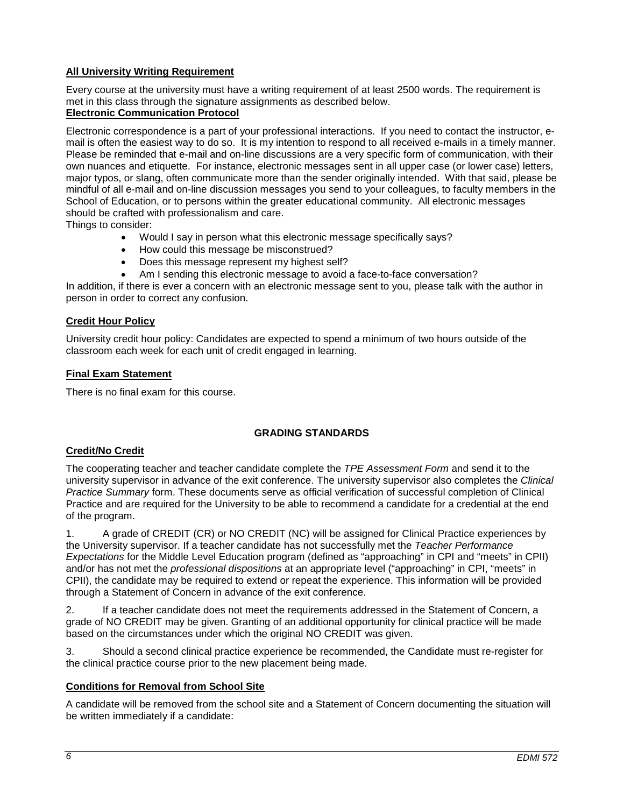# **All University Writing Requirement**

Every course at the university must have a writing requirement of at least 2500 words. The requirement is met in this class through the signature assignments as described below.

# **Electronic Communication Protocol**

Electronic correspondence is a part of your professional interactions. If you need to contact the instructor, email is often the easiest way to do so. It is my intention to respond to all received e-mails in a timely manner. Please be reminded that e-mail and on-line discussions are a very specific form of communication, with their own nuances and etiquette. For instance, electronic messages sent in all upper case (or lower case) letters, major typos, or slang, often communicate more than the sender originally intended. With that said, please be mindful of all e-mail and on-line discussion messages you send to your colleagues, to faculty members in the School of Education, or to persons within the greater educational community. All electronic messages should be crafted with professionalism and care.

Things to consider:

- Would I say in person what this electronic message specifically says?
- How could this message be misconstrued?
- Does this message represent my highest self?
- Am I sending this electronic message to avoid a face-to-face conversation?

In addition, if there is ever a concern with an electronic message sent to you, please talk with the author in person in order to correct any confusion.

#### **Credit Hour Policy**

University credit hour policy: Candidates are expected to spend a minimum of two hours outside of the classroom each week for each unit of credit engaged in learning.

#### **Final Exam Statement**

There is no final exam for this course.

### **GRADING STANDARDS**

### **Credit/No Credit**

The cooperating teacher and teacher candidate complete the *TPE Assessment Form* and send it to the university supervisor in advance of the exit conference. The university supervisor also completes the *Clinical Practice Summary* form. These documents serve as official verification of successful completion of Clinical Practice and are required for the University to be able to recommend a candidate for a credential at the end of the program.

1. A grade of CREDIT (CR) or NO CREDIT (NC) will be assigned for Clinical Practice experiences by the University supervisor. If a teacher candidate has not successfully met the *Teacher Performance Expectations* for the Middle Level Education program (defined as "approaching" in CPI and "meets" in CPII) and/or has not met the *professional dispositions* at an appropriate level ("approaching" in CPI, "meets" in CPII), the candidate may be required to extend or repeat the experience. This information will be provided through a Statement of Concern in advance of the exit conference.

2. If a teacher candidate does not meet the requirements addressed in the Statement of Concern, a grade of NO CREDIT may be given. Granting of an additional opportunity for clinical practice will be made based on the circumstances under which the original NO CREDIT was given.

3. Should a second clinical practice experience be recommended, the Candidate must re-register for the clinical practice course prior to the new placement being made.

### **Conditions for Removal from School Site**

A candidate will be removed from the school site and a Statement of Concern documenting the situation will be written immediately if a candidate: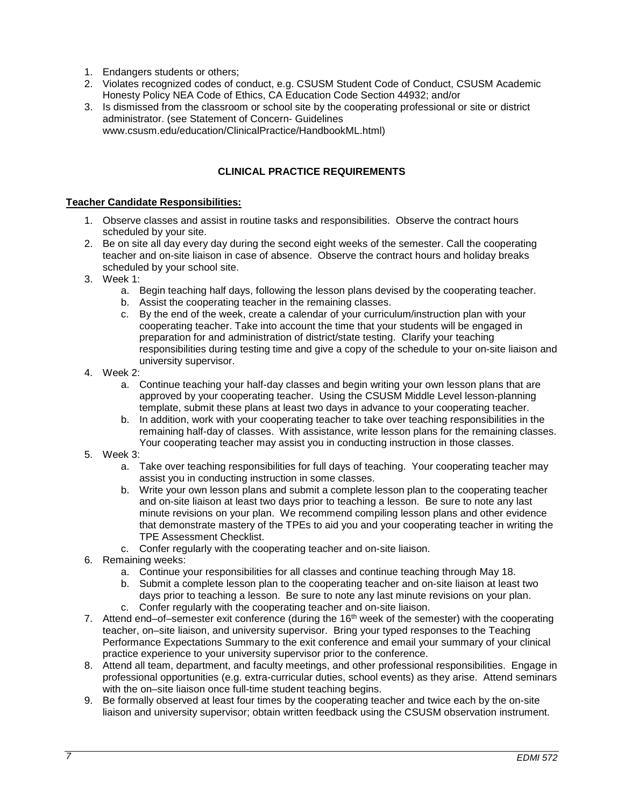- 1. Endangers students or others;
- 2. Violates recognized codes of conduct, e.g. CSUSM Student Code of Conduct, CSUSM Academic Honesty Policy NEA Code of Ethics, CA Education Code Section 44932; and/or
- 3. Is dismissed from the classroom or school site by the cooperating professional or site or district administrator. (see Statement of Concern- Guidelines www.csusm.edu/education/ClinicalPractice/HandbookML.html)

# **CLINICAL PRACTICE REQUIREMENTS**

#### **Teacher Candidate Responsibilities:**

- 1. Observe classes and assist in routine tasks and responsibilities. Observe the contract hours scheduled by your site.
- 2. Be on site all day every day during the second eight weeks of the semester. Call the cooperating teacher and on-site liaison in case of absence. Observe the contract hours and holiday breaks scheduled by your school site.
- 3. Week 1:
	- a. Begin teaching half days, following the lesson plans devised by the cooperating teacher.
	- b. Assist the cooperating teacher in the remaining classes.
	- c. By the end of the week, create a calendar of your curriculum/instruction plan with your cooperating teacher. Take into account the time that your students will be engaged in preparation for and administration of district/state testing. Clarify your teaching responsibilities during testing time and give a copy of the schedule to your on-site liaison and university supervisor.
- 4. Week 2:
	- a. Continue teaching your half-day classes and begin writing your own lesson plans that are approved by your cooperating teacher. Using the CSUSM Middle Level lesson-planning template, submit these plans at least two days in advance to your cooperating teacher.
	- b. In addition, work with your cooperating teacher to take over teaching responsibilities in the remaining half-day of classes. With assistance, write lesson plans for the remaining classes. Your cooperating teacher may assist you in conducting instruction in those classes.
- 5. Week 3:
	- a. Take over teaching responsibilities for full days of teaching. Your cooperating teacher may assist you in conducting instruction in some classes.
	- b. Write your own lesson plans and submit a complete lesson plan to the cooperating teacher and on-site liaison at least two days prior to teaching a lesson. Be sure to note any last minute revisions on your plan. We recommend compiling lesson plans and other evidence that demonstrate mastery of the TPEs to aid you and your cooperating teacher in writing the TPE Assessment Checklist.
	- c. Confer regularly with the cooperating teacher and on-site liaison.
- 6. Remaining weeks:
	- a. Continue your responsibilities for all classes and continue teaching through May 18.
	- b. Submit a complete lesson plan to the cooperating teacher and on-site liaison at least two days prior to teaching a lesson. Be sure to note any last minute revisions on your plan. c. Confer regularly with the cooperating teacher and on-site liaison.
- 7. Attend end–of–semester exit conference (during the  $16<sup>th</sup>$  week of the semester) with the cooperating teacher, on–site liaison, and university supervisor. Bring your typed responses to the Teaching Performance Expectations Summary to the exit conference and email your summary of your clinical practice experience to your university supervisor prior to the conference.
- 8. Attend all team, department, and faculty meetings, and other professional responsibilities. Engage in professional opportunities (e.g. extra-curricular duties, school events) as they arise. Attend seminars with the on–site liaison once full-time student teaching begins.
- 9. Be formally observed at least four times by the cooperating teacher and twice each by the on-site liaison and university supervisor; obtain written feedback using the CSUSM observation instrument.